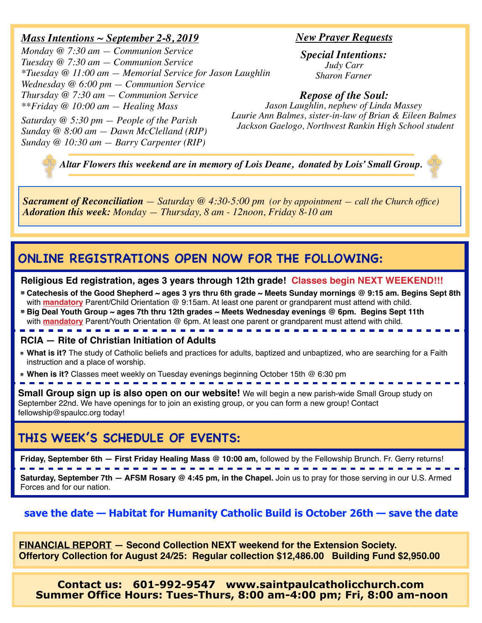## *Mass Intentions ~ September 2-8, 2019*

*Monday @ 7:30 am — Communion Service Tuesday @ 7:30 am — Communion Service \*Tuesday @ 11:00 am — Memorial Service for Jason Laughlin Wednesday @ 6:00 pm — Communion Service Thursday @ 7:30 am — Communion Service \*\*Friday @ 10:00 am — Healing Mass*

*Saturday @ 5:30 pm — People of the Parish Sunday @ 8:00 am — Dawn McClelland (RIP) Sunday @ 10:30 am — Barry Carpenter (RIP)*

### *New Prayer Requests*

*Special Intentions: Judy Carr Sharon Farner*

#### *Repose of the Soul:*

*Jason Laughlin, nephew of Linda Massey Laurie Ann Balmes, sister-in-law of Brian & Eileen Balmes Jackson Gaelogo, Northwest Rankin High School student*

*Altar Flowers this weekend are in memory of Lois Deane, donated by Lois' Small Group.*

*Sacrament of Reconciliation — Saturday @ 4:30-5:00 pm (or by appointment — call the Church office) Adoration this week: Monday — Thursday, 8 am - 12noon, Friday 8-10 am*

# **ONLINE REGISTRATIONS OPEN NOW FOR THE FOLLOWING:**

#### **Religious Ed registration, ages 3 years through 12th grade! Classes begin NEXT WEEKEND!!!**

**Catechesis of the Good Shepherd ~ ages 3 yrs thru 6th grade ~ Meets Sunday mornings @ 9:15 am. Begins Sept 8th**  with **mandatory** Parent/Child Orientation @ 9:15am. At least one parent or grandparent must attend with child.

**Big Deal Youth Group ~ ages 7th thru 12th grades ~ Meets Wednesday evenings @ 6pm. Begins Sept 11th**  with **mandatory** Parent/Youth Orientation @ 6pm. At least one parent or grandparent must attend with child.

#### **RCIA — Rite of Christian Initiation of Adults**

- **What is it?** The study of Catholic beliefs and practices for adults, baptized and unbaptized, who are searching for a Faith instruction and a place of worship.
- **When is it?** Classes meet weekly on Tuesday evenings beginning October 15th @ 6:30 pm

**Small Group sign up is also open on our website!** We will begin a new parish-wide Small Group study on September 22nd. We have openings for to join an existing group, or you can form a new group! Contact fellowship@spaulcc.org today!

# **THIS WEEK'S SCHEDULE OF EVENTS:**

**Friday, September 6th — First Friday Healing Mass @ 10:00 am,** followed by the Fellowship Brunch. Fr. Gerry returns!

**Saturday, September 7th — AFSM Rosary @ 4:45 pm, in the Chapel.** Join us to pray for those serving in our U.S. Armed Forces and for our nation.

## **save the date — Habitat for Humanity Catholic Build is October 26th — save the date**

**FINANCIAL REPORT — Second Collection NEXT weekend for the Extension Society. Offertory Collection for August 24/25: Regular collection \$12,486.00 Building Fund \$2,950.00**

**Contact us: 601-992-9547 www.saintpaulcatholicchurch.com Summer Office Hours: Tues-Thurs, 8:00 am-4:00 pm; Fri, 8:00 am-noon**